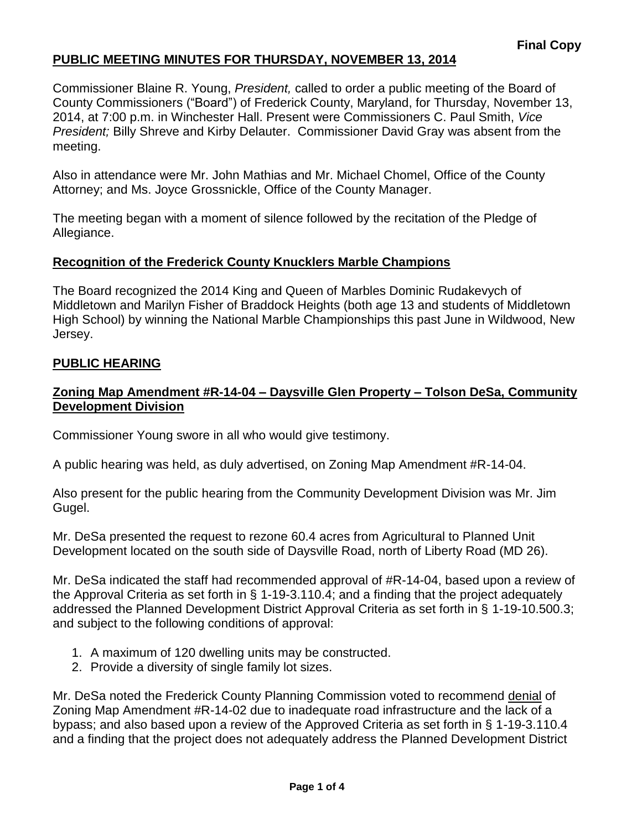Commissioner Blaine R. Young, *President,* called to order a public meeting of the Board of County Commissioners ("Board") of Frederick County, Maryland, for Thursday, November 13, 2014, at 7:00 p.m. in Winchester Hall. Present were Commissioners C. Paul Smith, *Vice President;* Billy Shreve and Kirby Delauter. Commissioner David Gray was absent from the meeting.

Also in attendance were Mr. John Mathias and Mr. Michael Chomel, Office of the County Attorney; and Ms. Joyce Grossnickle, Office of the County Manager.

The meeting began with a moment of silence followed by the recitation of the Pledge of Allegiance.

### **Recognition of the Frederick County Knucklers Marble Champions**

The Board recognized the 2014 King and Queen of Marbles Dominic Rudakevych of Middletown and Marilyn Fisher of Braddock Heights (both age 13 and students of Middletown High School) by winning the National Marble Championships this past June in Wildwood, New Jersey.

### **PUBLIC HEARING**

### **Zoning Map Amendment #R-14-04 – Daysville Glen Property – Tolson DeSa, Community Development Division**

Commissioner Young swore in all who would give testimony.

A public hearing was held, as duly advertised, on Zoning Map Amendment #R-14-04.

Also present for the public hearing from the Community Development Division was Mr. Jim Gugel.

Mr. DeSa presented the request to rezone 60.4 acres from Agricultural to Planned Unit Development located on the south side of Daysville Road, north of Liberty Road (MD 26).

Mr. DeSa indicated the staff had recommended approval of #R-14-04, based upon a review of the Approval Criteria as set forth in § 1-19-3.110.4; and a finding that the project adequately addressed the Planned Development District Approval Criteria as set forth in § 1-19-10.500.3; and subject to the following conditions of approval:

- 1. A maximum of 120 dwelling units may be constructed.
- 2. Provide a diversity of single family lot sizes.

Mr. DeSa noted the Frederick County Planning Commission voted to recommend denial of Zoning Map Amendment #R-14-02 due to inadequate road infrastructure and the lack of a bypass; and also based upon a review of the Approved Criteria as set forth in § 1-19-3.110.4 and a finding that the project does not adequately address the Planned Development District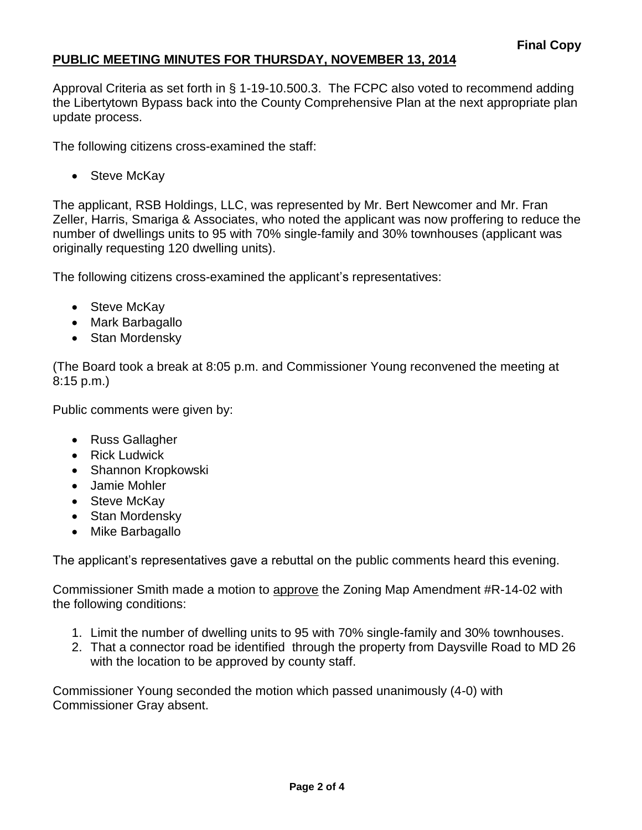Approval Criteria as set forth in § 1-19-10.500.3. The FCPC also voted to recommend adding the Libertytown Bypass back into the County Comprehensive Plan at the next appropriate plan update process.

The following citizens cross-examined the staff:

• Steve McKay

The applicant, RSB Holdings, LLC, was represented by Mr. Bert Newcomer and Mr. Fran Zeller, Harris, Smariga & Associates, who noted the applicant was now proffering to reduce the number of dwellings units to 95 with 70% single-family and 30% townhouses (applicant was originally requesting 120 dwelling units).

The following citizens cross-examined the applicant's representatives:

- Steve McKay
- Mark Barbagallo
- Stan Mordensky

(The Board took a break at 8:05 p.m. and Commissioner Young reconvened the meeting at 8:15 p.m.)

Public comments were given by:

- Russ Gallagher
- Rick Ludwick
- Shannon Kropkowski
- Jamie Mohler
- Steve McKay
- Stan Mordensky
- Mike Barbagallo

The applicant's representatives gave a rebuttal on the public comments heard this evening.

Commissioner Smith made a motion to approve the Zoning Map Amendment #R-14-02 with the following conditions:

- 1. Limit the number of dwelling units to 95 with 70% single-family and 30% townhouses.
- 2. That a connector road be identified through the property from Daysville Road to MD 26 with the location to be approved by county staff.

Commissioner Young seconded the motion which passed unanimously (4-0) with Commissioner Gray absent.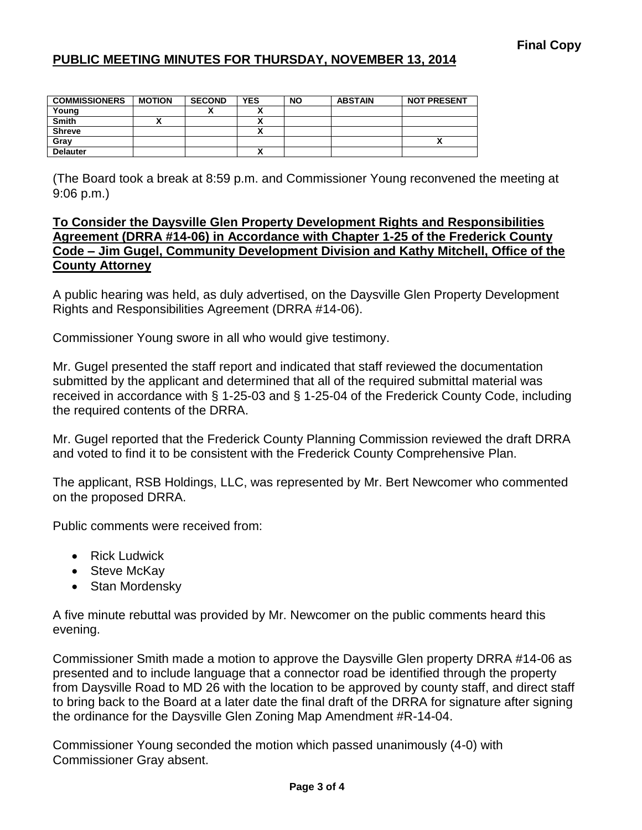| <b>COMMISSIONERS</b> | <b>MOTION</b> | <b>SECOND</b> | <b>YES</b> | <b>NO</b> | <b>ABSTAIN</b> | <b>NOT PRESENT</b> |
|----------------------|---------------|---------------|------------|-----------|----------------|--------------------|
| Young                |               |               |            |           |                |                    |
| Smith                |               |               |            |           |                |                    |
| <b>Shreve</b>        |               |               |            |           |                |                    |
| Gray                 |               |               |            |           |                |                    |
| <b>Delauter</b>      |               |               |            |           |                |                    |

(The Board took a break at 8:59 p.m. and Commissioner Young reconvened the meeting at 9:06 p.m.)

### **To Consider the Daysville Glen Property Development Rights and Responsibilities Agreement (DRRA #14-06) in Accordance with Chapter 1-25 of the Frederick County Code – Jim Gugel, Community Development Division and Kathy Mitchell, Office of the County Attorney**

A public hearing was held, as duly advertised, on the Daysville Glen Property Development Rights and Responsibilities Agreement (DRRA #14-06).

Commissioner Young swore in all who would give testimony.

Mr. Gugel presented the staff report and indicated that staff reviewed the documentation submitted by the applicant and determined that all of the required submittal material was received in accordance with § 1-25-03 and § 1-25-04 of the Frederick County Code, including the required contents of the DRRA.

Mr. Gugel reported that the Frederick County Planning Commission reviewed the draft DRRA and voted to find it to be consistent with the Frederick County Comprehensive Plan.

The applicant, RSB Holdings, LLC, was represented by Mr. Bert Newcomer who commented on the proposed DRRA.

Public comments were received from:

- Rick Ludwick
- Steve McKay
- Stan Mordensky

A five minute rebuttal was provided by Mr. Newcomer on the public comments heard this evening.

Commissioner Smith made a motion to approve the Daysville Glen property DRRA #14-06 as presented and to include language that a connector road be identified through the property from Daysville Road to MD 26 with the location to be approved by county staff, and direct staff to bring back to the Board at a later date the final draft of the DRRA for signature after signing the ordinance for the Daysville Glen Zoning Map Amendment #R-14-04.

Commissioner Young seconded the motion which passed unanimously (4-0) with Commissioner Gray absent.